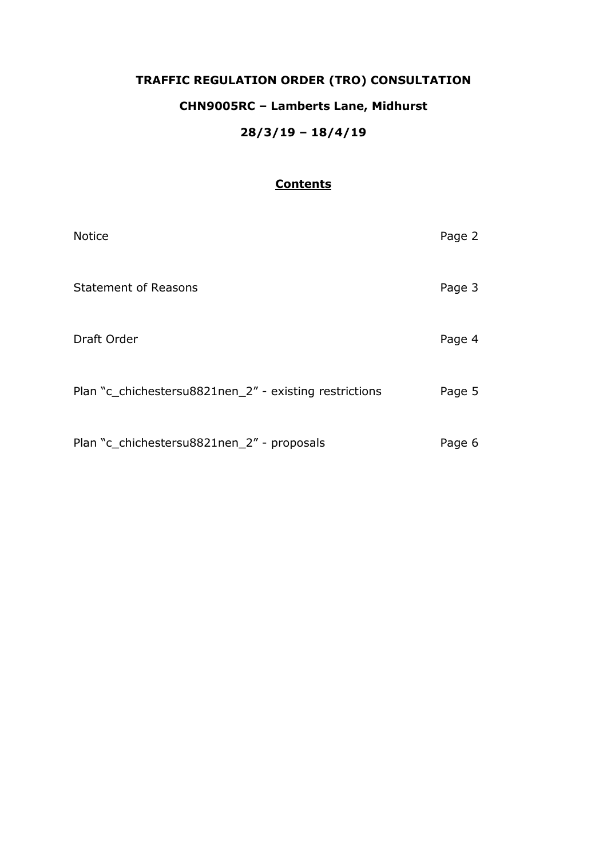# **TRAFFIC REGULATION ORDER (TRO) CONSULTATION CHN9005RC – Lamberts Lane, Midhurst 28/3/19 – 18/4/19**

## **Contents**

| <b>Notice</b>                                          | Page 2 |
|--------------------------------------------------------|--------|
| <b>Statement of Reasons</b>                            | Page 3 |
| Draft Order                                            | Page 4 |
| Plan "c_chichestersu8821nen_2" - existing restrictions | Page 5 |
| Plan "c_chichestersu8821nen_2" - proposals             | Page 6 |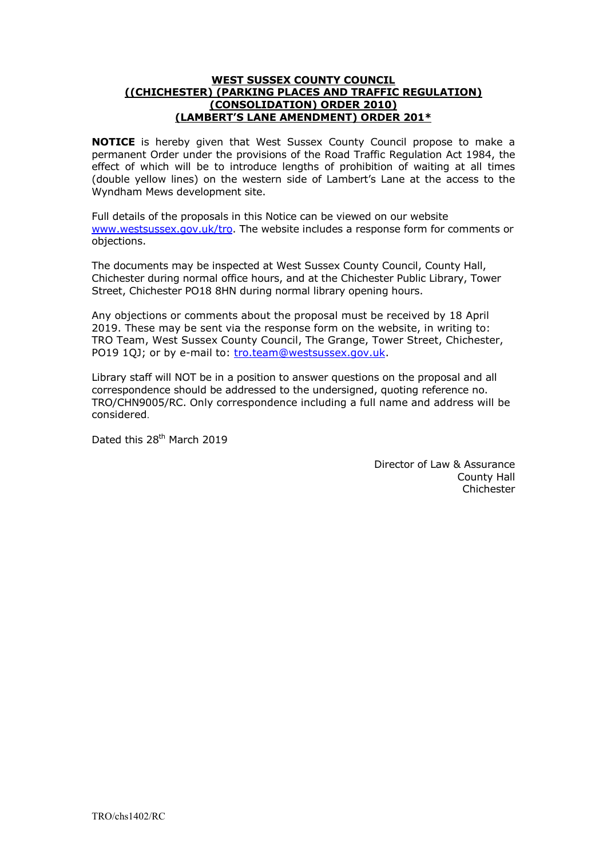#### **WEST SUSSEX COUNTY COUNCIL ((CHICHESTER) (PARKING PLACES AND TRAFFIC REGULATION) (CONSOLIDATION) ORDER 2010) (LAMBERT'S LANE AMENDMENT) ORDER 201\***

**NOTICE** is hereby given that West Sussex County Council propose to make a permanent Order under the provisions of the Road Traffic Regulation Act 1984, the effect of which will be to introduce lengths of prohibition of waiting at all times (double yellow lines) on the western side of Lambert's Lane at the access to the Wyndham Mews development site.

Full details of the proposals in this Notice can be viewed on our website [www.westsussex.gov.uk/tro.](http://www.westsussex.gov.uk/tro) The website includes a response form for comments or objections.

The documents may be inspected at West Sussex County Council, County Hall, Chichester during normal office hours, and at the Chichester Public Library, Tower Street, Chichester PO18 8HN during normal library opening hours.

Any objections or comments about the proposal must be received by 18 April 2019. These may be sent via the response form on the website, in writing to: TRO Team, West Sussex County Council, The Grange, Tower Street, Chichester, PO19 1QJ; or by e-mail to: [tro.team@westsussex.gov.uk.](mailto:tro.team@westsussex.gov.uk)

Library staff will NOT be in a position to answer questions on the proposal and all correspondence should be addressed to the undersigned, quoting reference no. TRO/CHN9005/RC. Only correspondence including a full name and address will be considered.

Dated this 28<sup>th</sup> March 2019

Director of Law & Assurance County Hall Chichester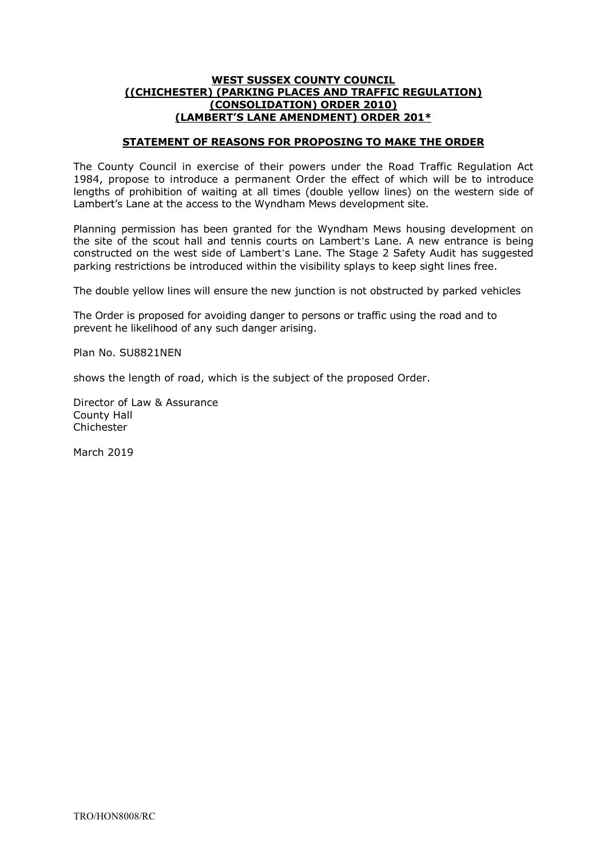## **WEST SUSSEX COUNTY COUNCIL ((CHICHESTER) (PARKING PLACES AND TRAFFIC REGULATION) (CONSOLIDATION) ORDER 2010) (LAMBERT'S LANE AMENDMENT) ORDER 201\***

## **STATEMENT OF REASONS FOR PROPOSING TO MAKE THE ORDER**

The County Council in exercise of their powers under the Road Traffic Regulation Act 1984, propose to introduce a permanent Order the effect of which will be to introduce lengths of prohibition of waiting at all times (double yellow lines) on the western side of Lambert's Lane at the access to the Wyndham Mews development site.

Planning permission has been granted for the Wyndham Mews housing development on the site of the scout hall and tennis courts on Lambert's Lane. A new entrance is being constructed on the west side of Lambert's Lane. The Stage 2 Safety Audit has suggested parking restrictions be introduced within the visibility splays to keep sight lines free.

The double yellow lines will ensure the new junction is not obstructed by parked vehicles

The Order is proposed for avoiding danger to persons or traffic using the road and to prevent he likelihood of any such danger arising.

Plan No. SU8821NEN

shows the length of road, which is the subject of the proposed Order.

Director of Law & Assurance County Hall Chichester

March 2019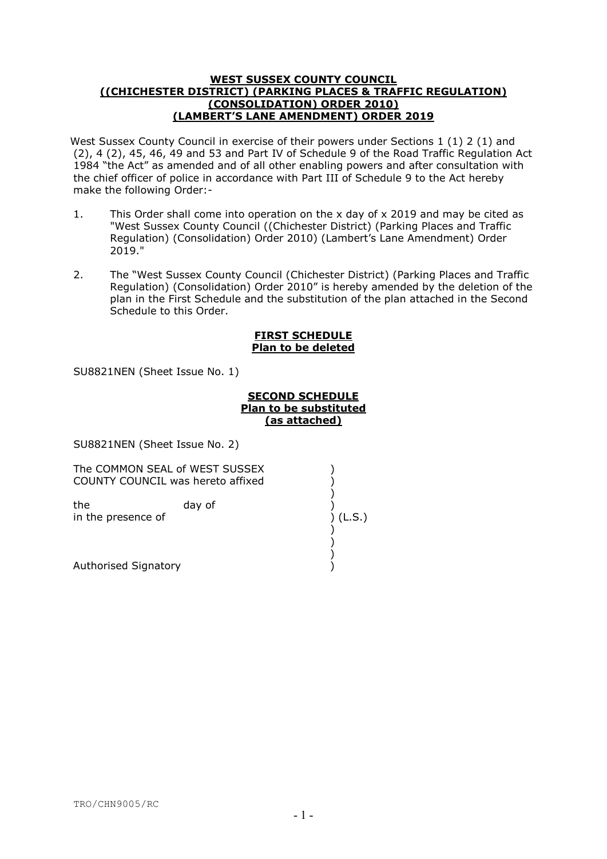#### **WEST SUSSEX COUNTY COUNCIL ((CHICHESTER DISTRICT) (PARKING PLACES & TRAFFIC REGULATION) (CONSOLIDATION) ORDER 2010) (LAMBERT'S LANE AMENDMENT) ORDER 2019**

West Sussex County Council in exercise of their powers under Sections 1 (1) 2 (1) and (2), 4 (2), 45, 46, 49 and 53 and Part IV of Schedule 9 of the Road Traffic Regulation Act 1984 "the Act" as amended and of all other enabling powers and after consultation with the chief officer of police in accordance with Part III of Schedule 9 to the Act hereby make the following Order:-

- 1. This Order shall come into operation on the x day of x 2019 and may be cited as "West Sussex County Council ((Chichester District) (Parking Places and Traffic Regulation) (Consolidation) Order 2010) (Lambert's Lane Amendment) Order 2019."
- 2. The "West Sussex County Council (Chichester District) (Parking Places and Traffic Regulation) (Consolidation) Order 2010" is hereby amended by the deletion of the plan in the First Schedule and the substitution of the plan attached in the Second Schedule to this Order.

## **FIRST SCHEDULE Plan to be deleted**

SU8821NEN (Sheet Issue No. 1)

#### **SECOND SCHEDULE Plan to be substituted (as attached)**

SU8821NEN (Sheet Issue No. 2)

The COMMON SEAL of WEST SUSSEX COUNTY COUNCIL was hereto affixed )

)

)

 ) in the presence of ) (L.S.) the day of

 ) Authorised Signatory (1999)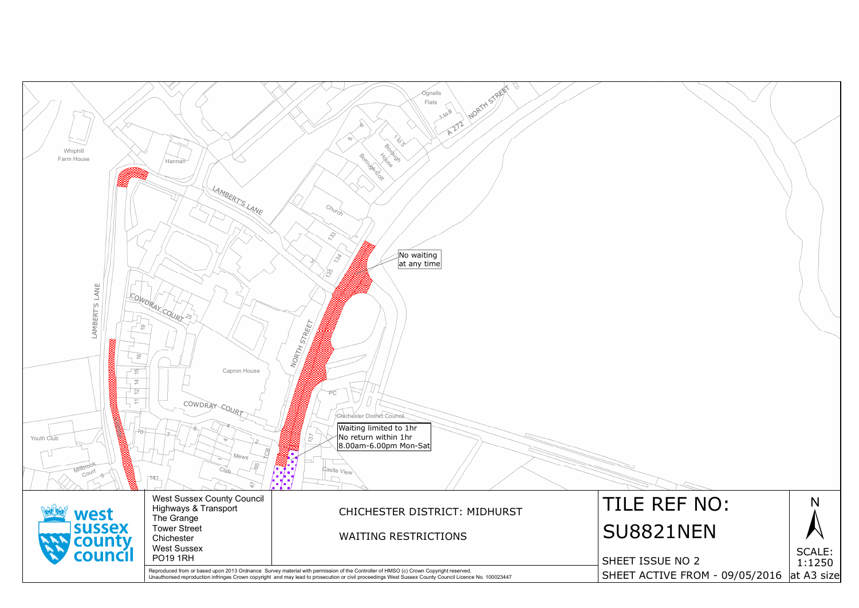